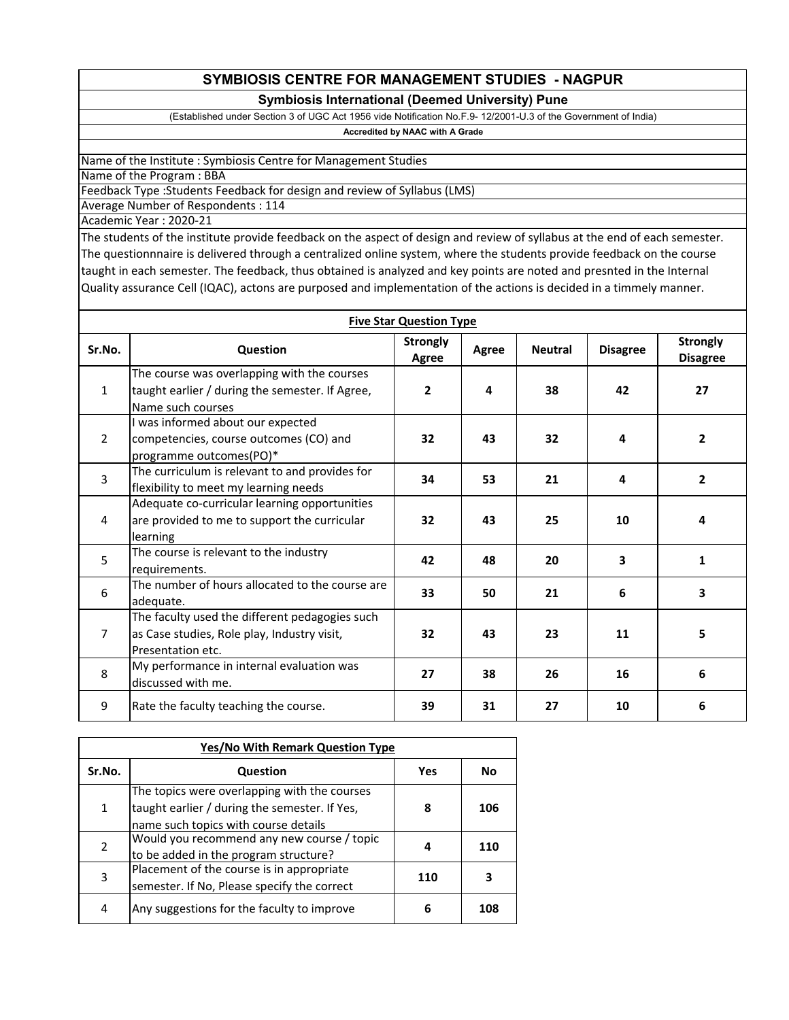## **SYMBIOSIS CENTRE FOR MANAGEMENT STUDIES - NAGPUR**

## **Symbiosis International (Deemed University) Pune**

(Established under Section 3 of UGC Act 1956 vide Notification No.F.9- 12/2001-U.3 of the Government of India)

## **Accredited by NAAC with A Grade**

Name of the Institute : Symbiosis Centre for Management Studies

Name of the Program : BBA

Feedback Type :Students Feedback for design and review of Syllabus (LMS)

Average Number of Respondents : 114

Academic Year : 2020-21

The students of the institute provide feedback on the aspect of design and review of syllabus at the end of each semester. The questionnnaire is delivered through a centralized online system, where the students provide feedback on the course taught in each semester. The feedback, thus obtained is analyzed and key points are noted and presnted in the Internal Quality assurance Cell (IQAC), actons are purposed and implementation of the actions is decided in a timmely manner.

| <b>Five Star Question Type</b> |                                                                                                                     |                          |       |                |                 |                                    |
|--------------------------------|---------------------------------------------------------------------------------------------------------------------|--------------------------|-------|----------------|-----------------|------------------------------------|
| Sr.No.                         | Question                                                                                                            | <b>Strongly</b><br>Agree | Agree | <b>Neutral</b> | <b>Disagree</b> | <b>Strongly</b><br><b>Disagree</b> |
| $\mathbf{1}$                   | The course was overlapping with the courses<br>taught earlier / during the semester. If Agree,<br>Name such courses | $\overline{2}$           | 4     | 38             | 42              | 27                                 |
| $\overline{2}$                 | I was informed about our expected<br>competencies, course outcomes (CO) and<br>programme outcomes(PO)*              | 32                       | 43    | 32             | 4               | $\overline{2}$                     |
| 3                              | The curriculum is relevant to and provides for<br>flexibility to meet my learning needs                             | 34                       | 53    | 21             | 4               | $\overline{2}$                     |
| 4                              | Adequate co-curricular learning opportunities<br>are provided to me to support the curricular<br>learning           | 32                       | 43    | 25             | 10              | 4                                  |
| 5                              | The course is relevant to the industry<br>requirements.                                                             | 42                       | 48    | 20             | 3               | $\mathbf{1}$                       |
| 6                              | The number of hours allocated to the course are<br>adequate.                                                        | 33                       | 50    | 21             | 6               | $\overline{\mathbf{3}}$            |
| $\overline{7}$                 | The faculty used the different pedagogies such<br>as Case studies, Role play, Industry visit,<br>Presentation etc.  | 32                       | 43    | 23             | 11              | 5.                                 |
| 8                              | My performance in internal evaluation was<br>discussed with me.                                                     | 27                       | 38    | 26             | 16              | 6                                  |
| 9                              | Rate the faculty teaching the course.                                                                               | 39                       | 31    | 27             | 10              | 6                                  |

| <b>Yes/No With Remark Question Type</b>         |                                                                                                                                   |     |           |  |  |
|-------------------------------------------------|-----------------------------------------------------------------------------------------------------------------------------------|-----|-----------|--|--|
| Sr.No.                                          | Question                                                                                                                          | Yes | <b>No</b> |  |  |
| 1                                               | The topics were overlapping with the courses<br>taught earlier / during the semester. If Yes,                                     | 8   | 106       |  |  |
|                                                 | name such topics with course details                                                                                              |     |           |  |  |
| $\overline{2}$                                  | Would you recommend any new course / topic                                                                                        | 4   | 110       |  |  |
| 3                                               | to be added in the program structure?<br>Placement of the course is in appropriate<br>semester. If No, Please specify the correct | 110 |           |  |  |
| Any suggestions for the faculty to improve<br>4 |                                                                                                                                   | 6   | 108       |  |  |